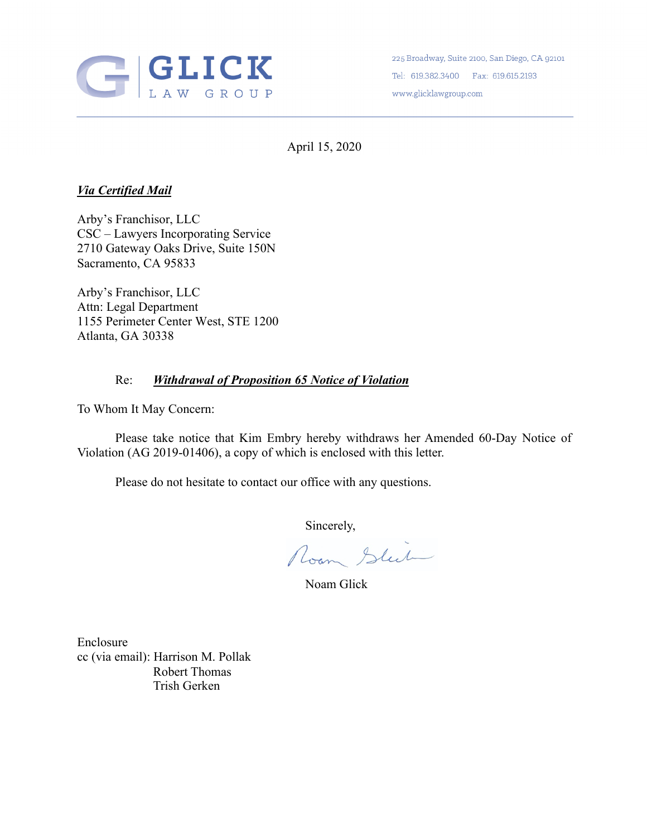

225 Broadway, Suite 2100, San Diego, CA 92101 Tel: 619.382.3400 Fax: 619.615.2193 www.glicklawgroup.com

April 15, 2020

## *Via Certified Mail*

Arby's Franchisor, LLC CSC – Lawyers Incorporating Service 2710 Gateway Oaks Drive, Suite 150N Sacramento, CA 95833

Arby's Franchisor, LLC Attn: Legal Department 1155 Perimeter Center West, STE 1200 Atlanta, GA 30338

## Re: *Withdrawal of Proposition 65 Notice of Violation*

To Whom It May Concern:

Please take notice that Kim Embry hereby withdraws her Amended 60-Day Notice of Violation (AG 2019-01406), a copy of which is enclosed with this letter.

Please do not hesitate to contact our office with any questions.

Sincerely,<br>Room Stut

Noam Glick

Enclosure cc (via email): Harrison M. Pollak Robert Thomas Trish Gerken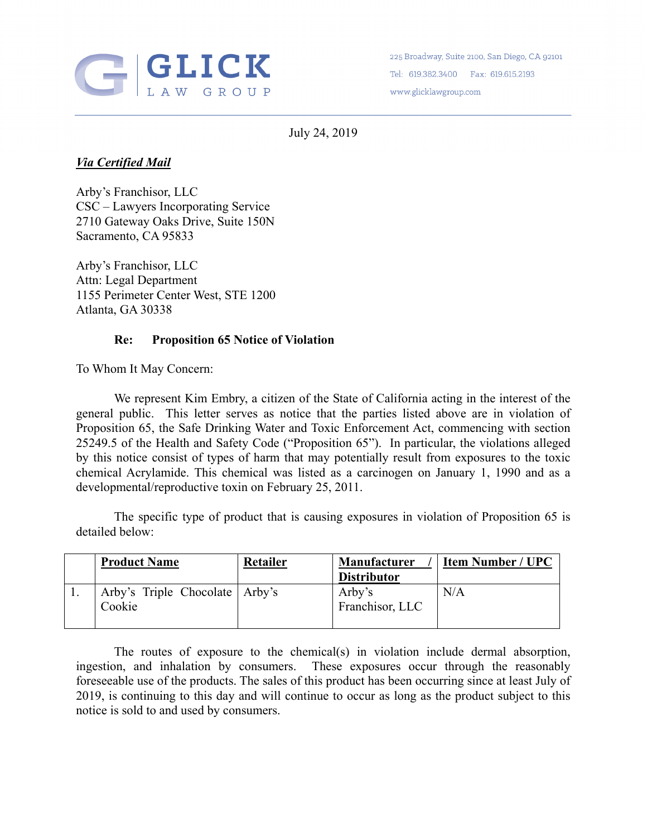

225 Broadway, Suite 2100, San Diego, CA 92101 Tel: 619.382.3400 Fax: 619.615.2193 www.glicklawgroup.com

July 24, 2019

## *Via Certified Mail*

Arby's Franchisor, LLC CSC – Lawyers Incorporating Service 2710 Gateway Oaks Drive, Suite 150N Sacramento, CA 95833

Arby's Franchisor, LLC Attn: Legal Department 1155 Perimeter Center West, STE 1200 Atlanta, GA 30338

## **Re: Proposition 65 Notice of Violation**

To Whom It May Concern:

We represent Kim Embry, a citizen of the State of California acting in the interest of the general public. This letter serves as notice that the parties listed above are in violation of Proposition 65, the Safe Drinking Water and Toxic Enforcement Act, commencing with section 25249.5 of the Health and Safety Code ("Proposition 65"). In particular, the violations alleged by this notice consist of types of harm that may potentially result from exposures to the toxic chemical Acrylamide. This chemical was listed as a carcinogen on January 1, 1990 and as a developmental/reproductive toxin on February 25, 2011.

The specific type of product that is causing exposures in violation of Proposition 65 is detailed below:

| <b>Product Name</b>                        | <b>Retailer</b> | Manufacturer<br><b>Distributor</b> | <b>Item Number / UPC</b> |
|--------------------------------------------|-----------------|------------------------------------|--------------------------|
| Arby's Triple Chocolate   Arby's<br>Cookie |                 | Arby's<br>Franchisor, LLC          | N/A                      |

The routes of exposure to the chemical(s) in violation include dermal absorption, ingestion, and inhalation by consumers. These exposures occur through the reasonably foreseeable use of the products. The sales of this product has been occurring since at least July of 2019, is continuing to this day and will continue to occur as long as the product subject to this notice is sold to and used by consumers.